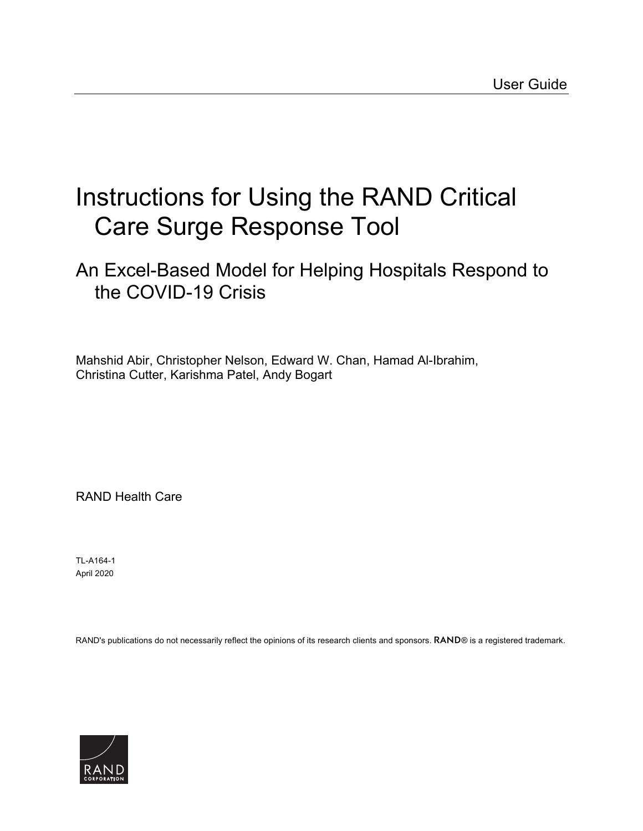# [Instructions for Using the RAND Critical](https://www.rand.org/pubs/tools/TLA164-1.html)  Care Surge Response Tool

## An Excel-Based Model for Helping Hospitals Respond to the COVID-19 Crisis

Mahshid Abir, Christopher Nelson, Edward W. Chan, Hamad Al-Ibrahim, Christina Cutter, Karishma Patel, Andy Bogart

RAND Health Care

TL-A164-1 April 2020

RAND's publications do not necessarily reflect the opinions of its research clients and sponsors. RAND® is a registered trademark.

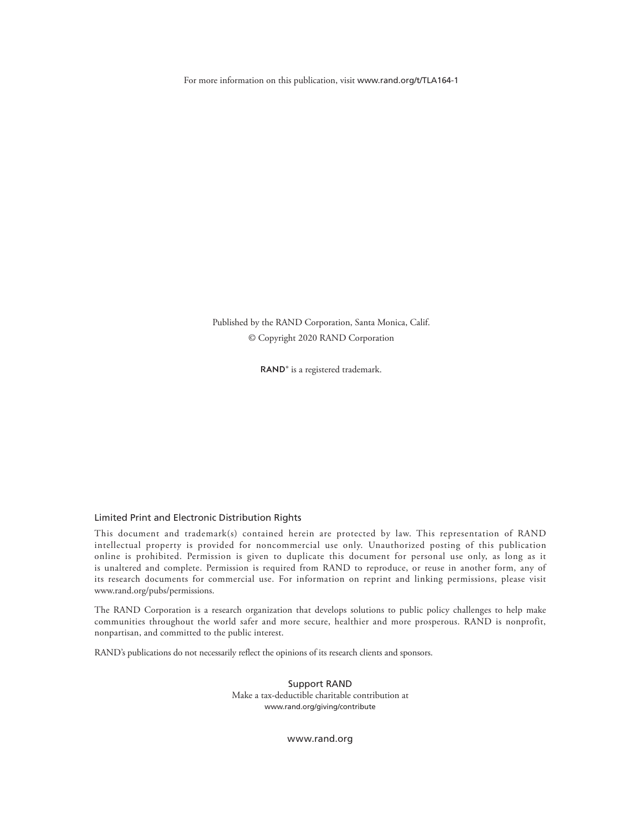For more information on this publication, visit [www.rand.org/t/TLA164-1](http://www.rand.org/t/TLA164-1)

Published by the RAND Corporation, Santa Monica, Calif. © Copyright 2020 RAND Corporation

RAND<sup>®</sup> is a registered trademark.

#### Limited Print and Electronic Distribution Rights

This document and trademark(s) contained herein are protected by law. This representation of RAND intellectual property is provided for noncommercial use only. Unauthorized posting of this publication online is prohibited. Permission is given to duplicate this document for personal use only, as long as it is unaltered and complete. Permission is required from RAND to reproduce, or reuse in another form, any of its research documents for commercial use. For information on reprint and linking permissions, please visit [www.rand.org/pubs/permissions.](http://www.rand.org/pubs/permissions)

The RAND Corporation is a research organization that develops solutions to public policy challenges to help make communities throughout the world safer and more secure, healthier and more prosperous. RAND is nonprofit, nonpartisan, and committed to the public interest.

RAND's publications do not necessarily reflect the opinions of its research clients and sponsors.

Support RAND Make a tax-deductible charitable contribution at [www.rand.org/giving/contribute](http://www.rand.org/giving/contribute)

[www.rand.org](http://www.rand.org)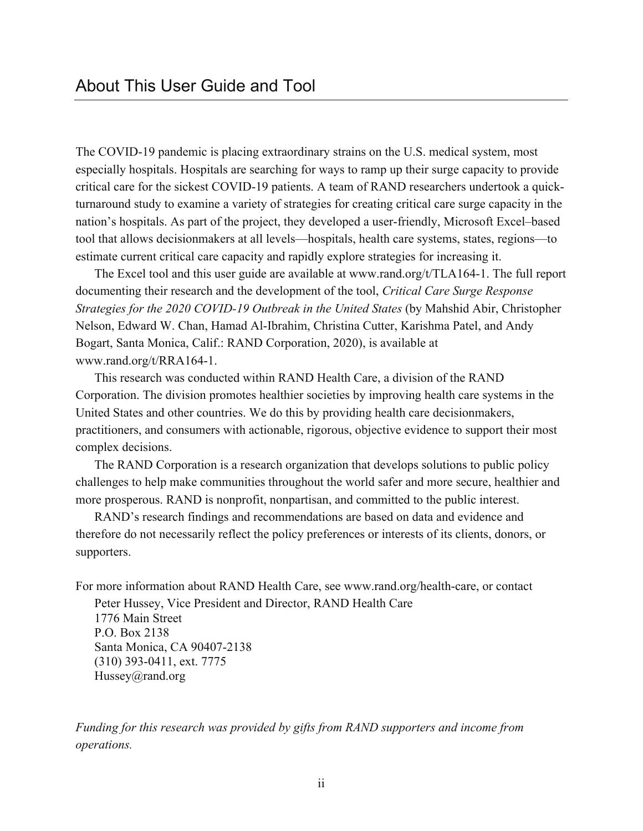The COVID-19 pandemic is placing extraordinary strains on the U.S. medical system, most especially hospitals. Hospitals are searching for ways to ramp up their surge capacity to provide critical care for the sickest COVID-19 patients. A team of RAND researchers undertook a quickturnaround study to examine a variety of strategies for creating critical care surge capacity in the nation's hospitals. As part of the project, they developed a user-friendly, Microsoft Excel–based tool that allows decisionmakers at all levels—hospitals, health care systems, states, regions—to estimate current critical care capacity and rapidly explore strategies for increasing it.

The Excel tool and this user guide are available at [www.rand.org/t/TLA164-1.](http://www.rand.org/t/TLA164-1) The full report documenting their research and the development of the tool, *Critical Care Surge Response Strategies for the 2020 COVID-19 Outbreak in the United States* (by Mahshid Abir, Christopher Nelson, Edward W. Chan, Hamad Al-Ibrahim, Christina Cutter, Karishma Patel, and Andy Bogart, Santa Monica, Calif.: RAND Corporation, 2020), is available at [www.rand.org/t/RRA164-1.](http://www.rand.org/t/RRA164-1)

This research was conducted within RAND Health Care, a division of the RAND Corporation. The division promotes healthier societies by improving health care systems in the United States and other countries. We do this by providing health care decisionmakers, practitioners, and consumers with actionable, rigorous, objective evidence to support their most complex decisions.

The RAND Corporation is a research organization that develops solutions to public policy challenges to help make communities throughout the world safer and more secure, healthier and more prosperous. RAND is nonprofit, nonpartisan, and committed to the public interest.

RAND's research findings and recommendations are based on data and evidence and therefore do not necessarily reflect the policy preferences or interests of its clients, donors, or supporters.

For more information about RAND Health Care, see [www.rand.org/health-care,](http://www.rand.org/health-care) or contact

Peter Hussey, Vice President and Director, RAND Health Care 1776 Main Street P.O. Box 2138 Santa Monica, CA 90407-2138 (310) 393-0411, ext. 7775 Hussey@rand.org

*Funding for this research was provided by gifts from RAND supporters and income from operations.*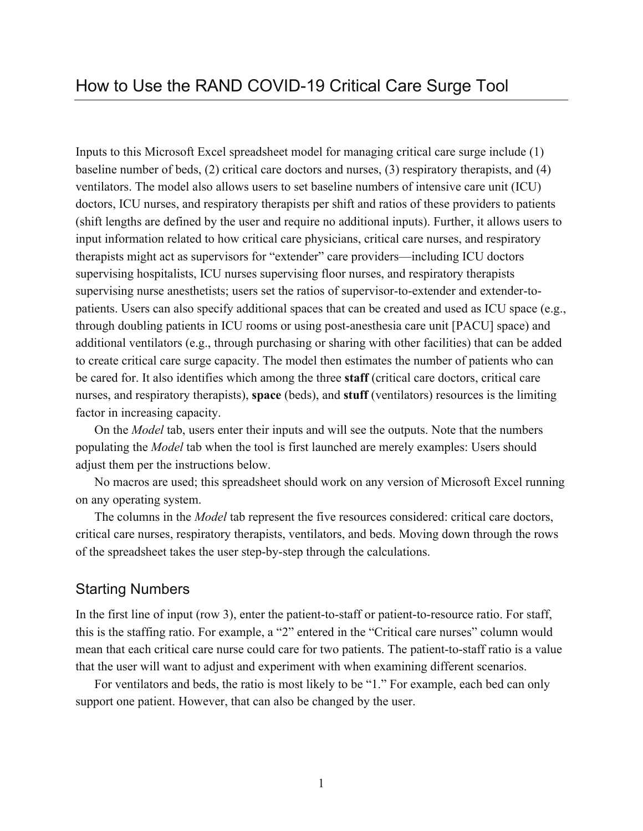Inputs to this Microsoft Excel spreadsheet model for managing critical care surge include (1) baseline number of beds, (2) critical care doctors and nurses, (3) respiratory therapists, and (4) ventilators. The model also allows users to set baseline numbers of intensive care unit (ICU) doctors, ICU nurses, and respiratory therapists per shift and ratios of these providers to patients (shift lengths are defined by the user and require no additional inputs). Further, it allows users to input information related to how critical care physicians, critical care nurses, and respiratory therapists might act as supervisors for "extender" care providers—including ICU doctors supervising hospitalists, ICU nurses supervising floor nurses, and respiratory therapists supervising nurse anesthetists; users set the ratios of supervisor-to-extender and extender-topatients. Users can also specify additional spaces that can be created and used as ICU space (e.g., through doubling patients in ICU rooms or using post-anesthesia care unit [PACU] space) and additional ventilators (e.g., through purchasing or sharing with other facilities) that can be added to create critical care surge capacity. The model then estimates the number of patients who can be cared for. It also identifies which among the three **staff** (critical care doctors, critical care nurses, and respiratory therapists), **space** (beds), and **stuff** (ventilators) resources is the limiting factor in increasing capacity.

On the *Model* tab, users enter their inputs and will see the outputs. Note that the numbers populating the *Model* tab when the tool is first launched are merely examples: Users should adjust them per the instructions below.

No macros are used; this spreadsheet should work on any version of Microsoft Excel running on any operating system.

The columns in the *Model* tab represent the five resources considered: critical care doctors, critical care nurses, respiratory therapists, ventilators, and beds. Moving down through the rows of the spreadsheet takes the user step-by-step through the calculations.

#### Starting Numbers

In the first line of input (row 3), enter the patient-to-staff or patient-to-resource ratio. For staff, this is the staffing ratio. For example, a "2" entered in the "Critical care nurses" column would mean that each critical care nurse could care for two patients. The patient-to-staff ratio is a value that the user will want to adjust and experiment with when examining different scenarios.

For ventilators and beds, the ratio is most likely to be "1." For example, each bed can only support one patient. However, that can also be changed by the user.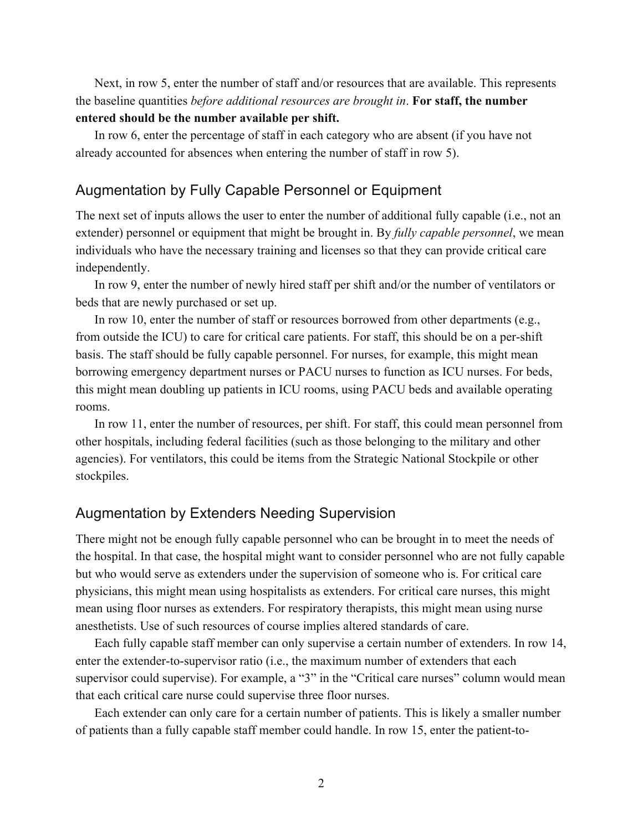Next, in row 5, enter the number of staff and/or resources that are available. This represents the baseline quantities *before additional resources are brought in*. **For staff, the number entered should be the number available per shift.**

In row 6, enter the percentage of staff in each category who are absent (if you have not already accounted for absences when entering the number of staff in row 5).

#### Augmentation by Fully Capable Personnel or Equipment

The next set of inputs allows the user to enter the number of additional fully capable (i.e., not an extender) personnel or equipment that might be brought in. By *fully capable personnel*, we mean individuals who have the necessary training and licenses so that they can provide critical care independently.

In row 9, enter the number of newly hired staff per shift and/or the number of ventilators or beds that are newly purchased or set up.

In row 10, enter the number of staff or resources borrowed from other departments (e.g., from outside the ICU) to care for critical care patients. For staff, this should be on a per-shift basis. The staff should be fully capable personnel. For nurses, for example, this might mean borrowing emergency department nurses or PACU nurses to function as ICU nurses. For beds, this might mean doubling up patients in ICU rooms, using PACU beds and available operating rooms.

In row 11, enter the number of resources, per shift. For staff, this could mean personnel from other hospitals, including federal facilities (such as those belonging to the military and other agencies). For ventilators, this could be items from the Strategic National Stockpile or other stockpiles.

#### Augmentation by Extenders Needing Supervision

There might not be enough fully capable personnel who can be brought in to meet the needs of the hospital. In that case, the hospital might want to consider personnel who are not fully capable but who would serve as extenders under the supervision of someone who is. For critical care physicians, this might mean using hospitalists as extenders. For critical care nurses, this might mean using floor nurses as extenders. For respiratory therapists, this might mean using nurse anesthetists. Use of such resources of course implies altered standards of care.

Each fully capable staff member can only supervise a certain number of extenders. In row 14, enter the extender-to-supervisor ratio (i.e., the maximum number of extenders that each supervisor could supervise). For example, a "3" in the "Critical care nurses" column would mean that each critical care nurse could supervise three floor nurses.

Each extender can only care for a certain number of patients. This is likely a smaller number of patients than a fully capable staff member could handle. In row 15, enter the patient-to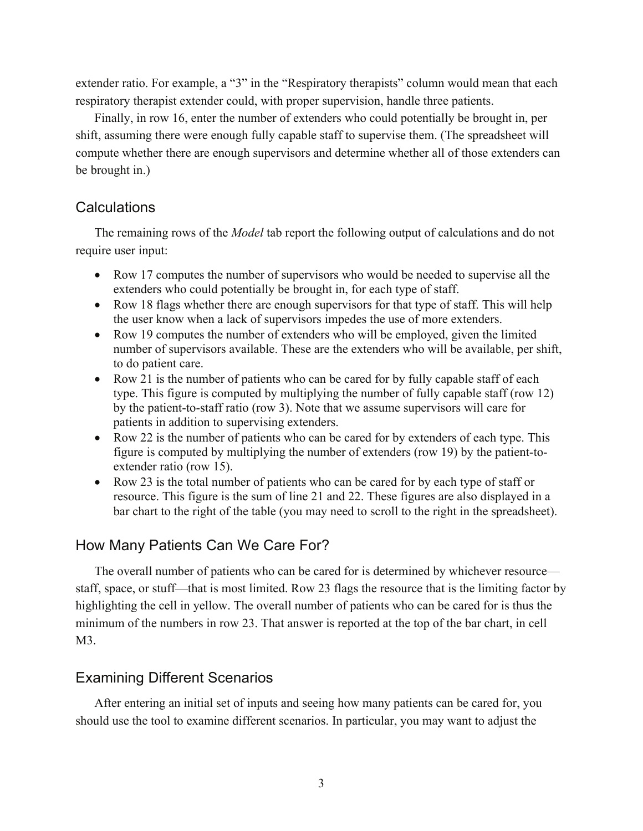extender ratio. For example, a "3" in the "Respiratory therapists" column would mean that each respiratory therapist extender could, with proper supervision, handle three patients.

Finally, in row 16, enter the number of extenders who could potentially be brought in, per shift, assuming there were enough fully capable staff to supervise them. (The spreadsheet will compute whether there are enough supervisors and determine whether all of those extenders can be brought in.)

#### **Calculations**

The remaining rows of the *Model* tab report the following output of calculations and do not require user input:

- Row 17 computes the number of supervisors who would be needed to supervise all the extenders who could potentially be brought in, for each type of staff.
- Row 18 flags whether there are enough supervisors for that type of staff. This will help the user know when a lack of supervisors impedes the use of more extenders.
- Row 19 computes the number of extenders who will be employed, given the limited number of supervisors available. These are the extenders who will be available, per shift, to do patient care.
- Row 21 is the number of patients who can be cared for by fully capable staff of each type. This figure is computed by multiplying the number of fully capable staff (row 12) by the patient-to-staff ratio (row 3). Note that we assume supervisors will care for patients in addition to supervising extenders.
- Row 22 is the number of patients who can be cared for by extenders of each type. This figure is computed by multiplying the number of extenders (row 19) by the patient-toextender ratio (row 15).
- Row 23 is the total number of patients who can be cared for by each type of staff or resource. This figure is the sum of line 21 and 22. These figures are also displayed in a bar chart to the right of the table (you may need to scroll to the right in the spreadsheet).

### How Many Patients Can We Care For?

The overall number of patients who can be cared for is determined by whichever resource staff, space, or stuff—that is most limited. Row 23 flags the resource that is the limiting factor by highlighting the cell in yellow. The overall number of patients who can be cared for is thus the minimum of the numbers in row 23. That answer is reported at the top of the bar chart, in cell M3.

#### Examining Different Scenarios

After entering an initial set of inputs and seeing how many patients can be cared for, you should use the tool to examine different scenarios. In particular, you may want to adjust the